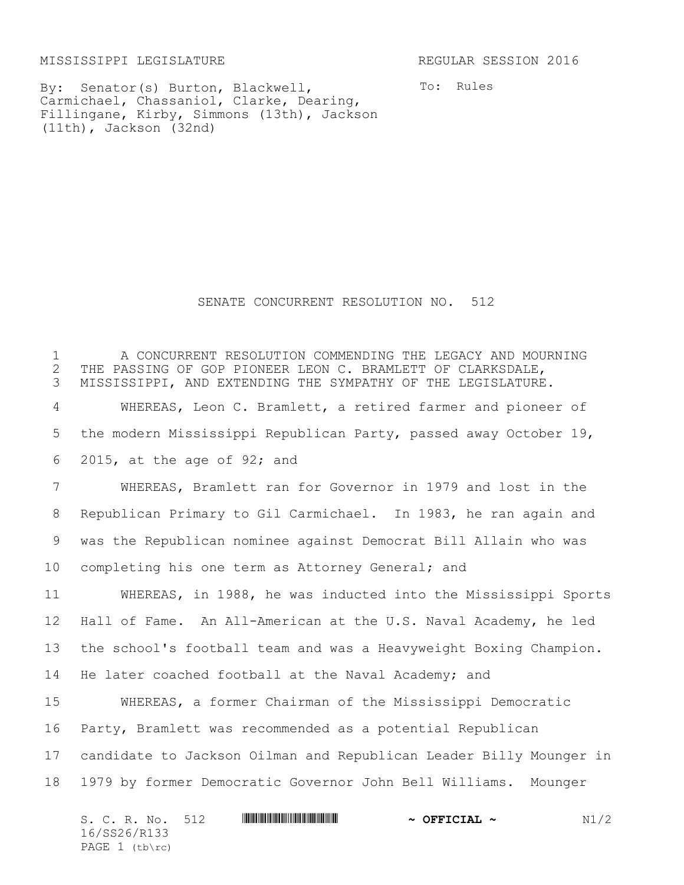MISSISSIPPI LEGISLATURE REGULAR SESSION 2016

By: Senator(s) Burton, Blackwell, Carmichael, Chassaniol, Clarke, Dearing, Fillingane, Kirby, Simmons (13th), Jackson (11th), Jackson (32nd)

To: Rules

SENATE CONCURRENT RESOLUTION NO. 512

 A CONCURRENT RESOLUTION COMMENDING THE LEGACY AND MOURNING 2 THE PASSING OF GOP PIONEER LEON C. BRAMLETT OF CLARKSDALE,<br>3 MISSISSIPPI, AND EXTENDING THE SYMPATHY OF THE LEGISLATURE MISSISSIPPI, AND EXTENDING THE SYMPATHY OF THE LEGISLATURE. WHEREAS, Leon C. Bramlett, a retired farmer and pioneer of the modern Mississippi Republican Party, passed away October 19, 2015, at the age of 92; and WHEREAS, Bramlett ran for Governor in 1979 and lost in the Republican Primary to Gil Carmichael. In 1983, he ran again and was the Republican nominee against Democrat Bill Allain who was completing his one term as Attorney General; and WHEREAS, in 1988, he was inducted into the Mississippi Sports Hall of Fame. An All-American at the U.S. Naval Academy, he led the school's football team and was a Heavyweight Boxing Champion. He later coached football at the Naval Academy; and WHEREAS, a former Chairman of the Mississippi Democratic Party, Bramlett was recommended as a potential Republican candidate to Jackson Oilman and Republican Leader Billy Mounger in 1979 by former Democratic Governor John Bell Williams. Mounger

| S. C. R. No. 512                 |  | $\sim$ OFFICIAL $\sim$ | N1/2 |
|----------------------------------|--|------------------------|------|
| 16/SS26/R133<br>PAGE $1$ (tb\rc) |  |                        |      |
|                                  |  |                        |      |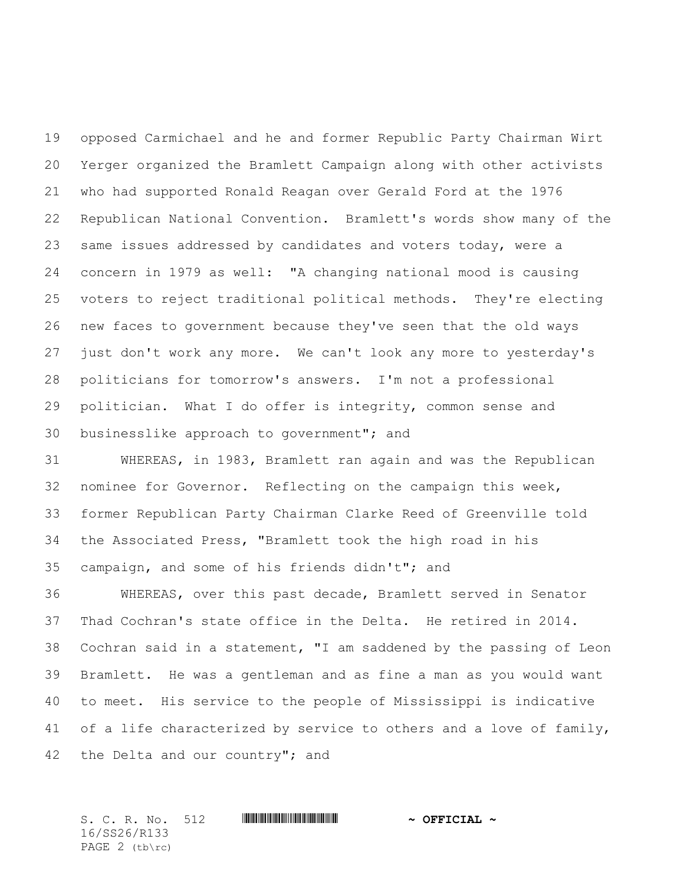opposed Carmichael and he and former Republic Party Chairman Wirt Yerger organized the Bramlett Campaign along with other activists who had supported Ronald Reagan over Gerald Ford at the 1976 Republican National Convention. Bramlett's words show many of the same issues addressed by candidates and voters today, were a concern in 1979 as well: "A changing national mood is causing voters to reject traditional political methods. They're electing new faces to government because they've seen that the old ways just don't work any more. We can't look any more to yesterday's politicians for tomorrow's answers. I'm not a professional politician. What I do offer is integrity, common sense and businesslike approach to government"; and

 WHEREAS, in 1983, Bramlett ran again and was the Republican nominee for Governor. Reflecting on the campaign this week, former Republican Party Chairman Clarke Reed of Greenville told the Associated Press, "Bramlett took the high road in his campaign, and some of his friends didn't"; and

 WHEREAS, over this past decade, Bramlett served in Senator Thad Cochran's state office in the Delta. He retired in 2014. Cochran said in a statement, "I am saddened by the passing of Leon Bramlett. He was a gentleman and as fine a man as you would want to meet. His service to the people of Mississippi is indicative 41 of a life characterized by service to others and a love of family, the Delta and our country"; and

S. C. R. No. 512 **\*\*\* And \*\*\* \*\*\* ~\*\* ~\*\* ~\*\* ~\*\* ~\*\***  $\sim$  **0FFICIAL ~** 16/SS26/R133 PAGE 2 (tb\rc)